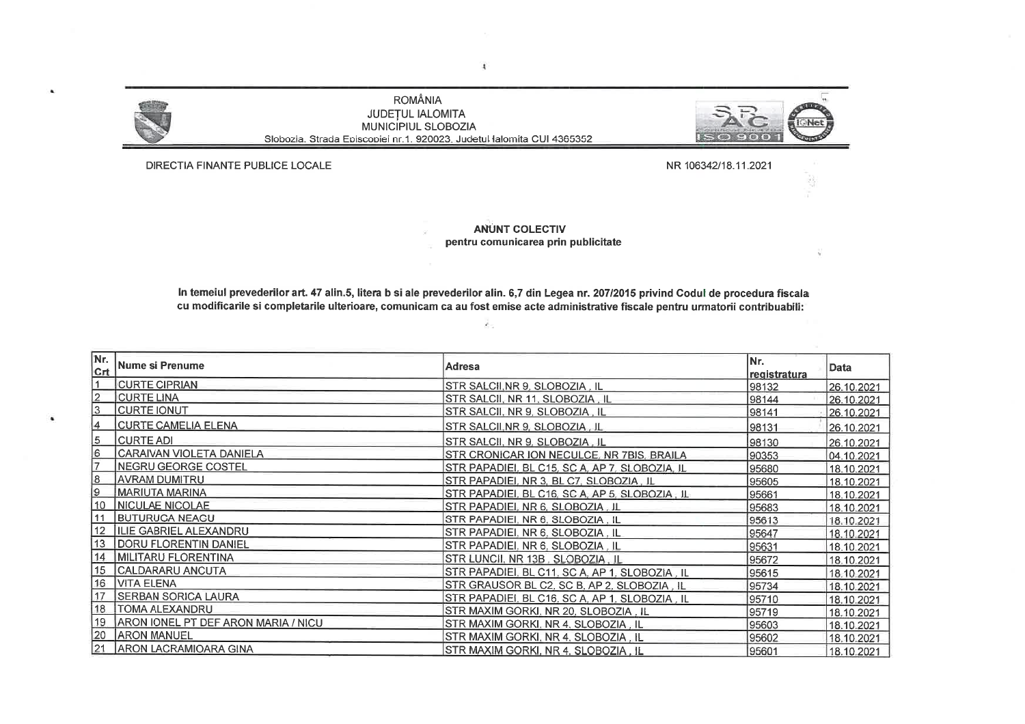**ROMÂNIA JUDETUL IALOMITA** MUNICIPIUL SLOBOZIA Slobozia. Strada Episcopiei nr.1. 920023. Judetul lalomita CUI 4365352



DIRECTIA FINANTE PUBLICE LOCALE

NR 106342/18.11.2021

**ANUNT COLECTIV** pentru comunicarea prin publicitate

In temeiul prevederilor art. 47 alin.5, litera b si ale prevederilor alin. 6.7 din Legea nr. 207/2015 privind Codul de procedura fiscala cu modificarile si completarile ulterioare, comunicam ca au fost emise acte administrative fiscale pentru urmatorii contribuabili:

Ä.

INr. Nr. Nume si Prenume Adresa **Data**  $|_{\mathsf{Crt}}$ registratura **CURTE CIPRIAN** STR SALCII, NR 9, SLOBOZIA, IL 98132 26.10.2021 **CURTE LINA** STR SALCII, NR 11, SLOBOZIA . IL 98144 26.10.2021 **CURTE IONUT** STR SALCII, NR 9, SLOBOZIA, IL 98141 26.10.2021 **CURTE CAMELIA ELENA** STR SALCII.NR 9, SLOBOZIA, IL 98131 26.10.2021 **CURTE ADI** STR SALCII, NR 9, SLOBOZIA, IL 98130 26.10.2021 CARAIVAN VIOLETA DANIELA l6 STR CRONICAR ION NECULCE, NR 7BIS, BRAILA 90353 04.10.2021 **NEGRU GEORGE COSTEL** STR PAPADIEI, BL C15, SC A, AP 7, SLOBOZIA, IL 95680 18.10.2021 **AVRAM DUMITRU** l8 STR PAPADIEI, NR 3, BL C7, SLOBOZIA, IL 95605 18.10.2021 19 **MARIUTA MARINA** STR PAPADIEI, BL C16, SC A, AP 5, SLOBOZIA, IL 95661 18.10.2021 10 NICULAE NICOLAE STR PAPADIEI, NR 6, SLOBOZIA, IL 95683 18.10.2021 **BUTURUGA NEAGU** 11 STR PAPADIEI, NR 6, SLOBOZIA, IL 95613 18.10.2021 12 ILIE GABRIEL ALEXANDRU STR PAPADIEI, NR 6, SLOBOZIA, IL 95647 18.10.2021 13 **DORU FLORENTIN DANIEL** STR PAPADIEI, NR 6, SLOBOZIA, IL 95631 18.10.2021 14 MILITARU FLORENTINA STR LUNCII, NR 13B. SLOBOZIA, IL 95672 18.10.2021 15 CALDARARU ANCUTA STR PAPADIEI, BL C11, SC A, AP 1, SLOBOZIA. IL 95615 18.10.2021 16 VITA ELENA STR GRAUSOR BL C2, SC B, AP 2, SLOBOZIA . IL 95734 18.10.2021 17 SERBAN SORICA LAURA STR PAPADIEI, BL C16, SC A, AP 1, SLOBOZIA, IL 95710 18.10.2021 18 | TOMA ALEXANDRU STR MAXIM GORKI, NR 20, SLOBOZIA . IL 95719 18.10.2021 19 ARON IONEL PT DEF ARON MARIA / NICU STR MAXIM GORKI, NR 4, SLOBOZIA, IL 95603 18.10.2021 20 ARON MANUEL STR MAXIM GORKI, NR 4, SLOBOZIA, IL 95602 18.10.2021 21 ARON LACRAMIOARA GINA STR MAXIM GORKI, NR 4. SLOBOZIA, IL 95601 18.10.2021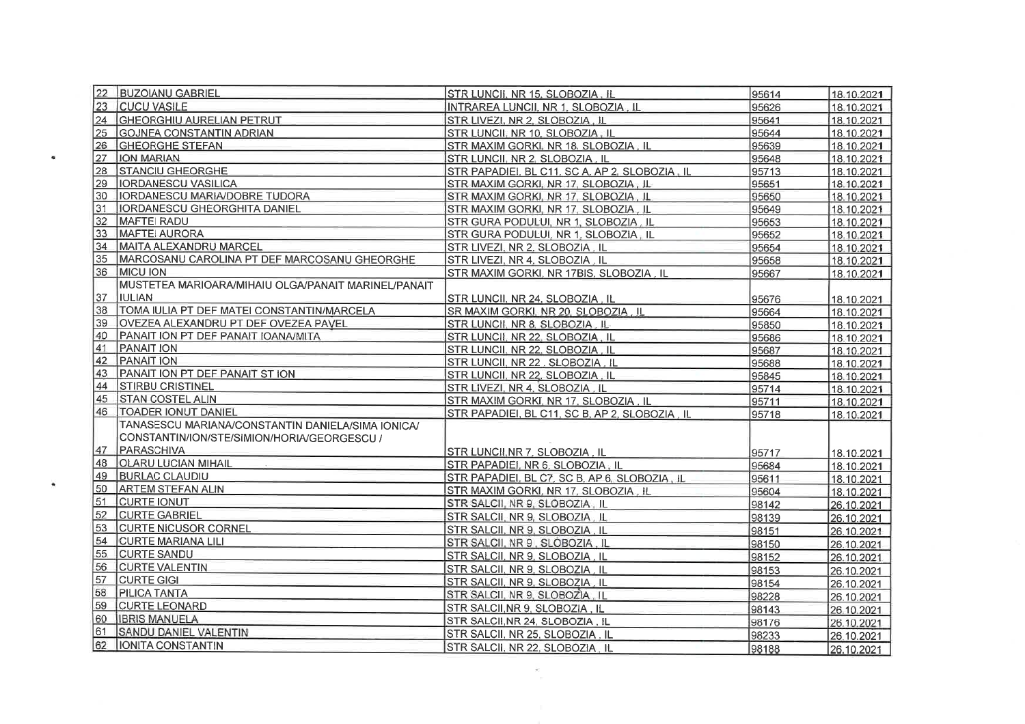| 22 | <b>BUZOIANU GABRIEL</b>                             | STR LUNCII. NR 15. SLOBOZIA. IL                | 95614 | 18.10.2021 |
|----|-----------------------------------------------------|------------------------------------------------|-------|------------|
| 23 | <b>CUCU VASILE</b>                                  | INTRAREA LUNCII. NR 1. SLOBOZIA. IL            | 95626 | 18.10.2021 |
| 24 | <b>GHEORGHIU AURELIAN PETRUT</b>                    | STR LIVEZI, NR 2, SLOBOZIA, IL                 | 95641 | 18.10.2021 |
| 25 | <b>GOJNEA CONSTANTIN ADRIAN</b>                     | STR LUNCII, NR 10, SLOBOZIA, IL                | 95644 | 18.10.2021 |
| 26 | <b>GHEORGHE STEFAN</b>                              | STR MAXIM GORKI, NR 18, SLOBOZIA, IL           | 95639 | 18.10.2021 |
| 27 | <b>ION MARIAN</b>                                   | STR LUNCII, NR 2, SLOBOZIA, IL                 | 95648 | 18.10.2021 |
| 28 | <b>STANCIU GHEORGHE</b>                             | STR PAPADIEI, BL C11, SC A, AP 2, SLOBOZIA, IL | 95713 | 18.10.2021 |
| 29 | <b>IORDANESCU VASILICA</b>                          | STR MAXIM GORKI, NR 17, SLOBOZIA, IL           | 95651 | 18.10.2021 |
| 30 | IORDANESCU MARIA/DOBRE TUDORA                       | STR MAXIM GORKI, NR 17, SLOBOZIA, IL           | 95650 | 18.10.2021 |
| 31 | <b>IIORDANESCU GHEORGHITA DANIEL</b>                | STR MAXIM GORKI, NR 17, SLOBOZIA, IL           | 95649 | 18.10.2021 |
| 32 | <b>MAFTEI RADU</b>                                  | STR GURA PODULUI, NR 1, SLOBOZIA, IL           | 95653 | 18.10.2021 |
| 33 | MAFTEI AURORA                                       | STR GURA PODULUI, NR 1, SLOBOZIA, IL           | 95652 | 18.10.2021 |
| 34 | MAITA ALEXANDRU MARCEL                              | STR LIVEZI, NR 2, SLOBOZIA, IL                 | 95654 | 18.10.2021 |
| 35 | MARCOSANU CAROLINA PT DEF MARCOSANU GHEORGHE        | STR LIVEZI, NR 4, SLOBOZIA, IL                 | 95658 | 18.10.2021 |
| 36 | <b>IMICU ION</b>                                    | STR MAXIM GORKI, NR 17BIS, SLOBOZIA, IL        | 95667 | 18.10.2021 |
|    | MUSTETEA MARIOARA/MIHAIU OLGA/PANAIT MARINEL/PANAIT |                                                |       |            |
| 37 | <b>IIULIAN</b>                                      | STR LUNCII, NR 24, SLOBOZIA . IL               | 95676 | 18.10.2021 |
| 38 | TOMA IULIA PT DEF MATEI CONSTANTIN/MARCELA          | SR MAXIM GORKI, NR 20, SLOBOZIA, IL            | 95664 | 18.10.2021 |
| 39 | <b>OVEZEA ALEXANDRU PT DEF OVEZEA PAVEL</b>         | STR LUNCII, NR 8, SLOBOZIA, IL                 | 95850 | 18.10.2021 |
| 40 | PANAIT ION PT DEF PANAIT IOANA/MITA                 | STR LUNCII, NR 22, SLOBOZIA, IL                | 95686 | 18.10.2021 |
| 41 | <b>PANAIT ION</b>                                   | STR LUNCII. NR 22. SLOBOZIA, IL                | 95687 | 18.10.2021 |
| 42 | <b>PANAIT ION</b>                                   | STR LUNCII, NR 22, SLOBOZIA, IL                | 95688 | 18.10.2021 |
| 43 | PANAIT ION PT DEF PANAIT ST ION                     | STR LUNCII, NR 22, SLOBOZIA, IL                | 95845 | 18.10.2021 |
| 44 | <b>STIRBU CRISTINEL</b>                             | STR LIVEZI, NR 4, SLOBOZIA . IL                | 95714 | 18.10.2021 |
| 45 | <b>STAN COSTEL ALIN</b>                             | STR MAXIM GORKI, NR 17, SLOBOZIA, IL           | 95711 | 18.10.2021 |
| 46 | <b>TOADER IONUT DANIEL</b>                          | STR PAPADIEI, BL C11, SC B, AP 2, SLOBOZIA, IL | 95718 | 18.10.2021 |
|    | TANASESCU MARIANA/CONSTANTIN DANIELA/SIMA IONICA/   |                                                |       |            |
|    | CONSTANTIN/ION/STE/SIMION/HORIA/GEORGESCU /         |                                                |       |            |
| 47 | PARASCHIVA                                          | STR LUNCII, NR 7, SLOBOZIA, IL                 | 95717 | 18.10.2021 |
| 48 | <b>OLARU LUCIAN MIHAIL</b>                          | STR PAPADIEI, NR 6. SLOBOZIA, IL               | 95684 | 18.10.2021 |
| 49 | <b>BURLAC CLAUDIU</b>                               | STR PAPADIEI, BL C7, SC B, AP 6, SLOBOZIA, IL  | 95611 | 18.10.2021 |
| 50 | <b>ARTEM STEFAN ALIN</b>                            | STR MAXIM GORKI, NR 17, SLOBOZIA, IL           | 95604 | 18.10.2021 |
| 51 | <b>CURTE IONUT</b>                                  | STR SALCII, NR 9, SLOBOZIA, IL                 | 98142 | 26.10.2021 |
| 52 | <b>CURTE GABRIEL</b>                                | STR SALCII, NR 9, SLOBOZIA, IL                 | 98139 | 26.10.2021 |
| 53 | <b>CURTE NICUSOR CORNEL</b>                         | STR SALCII, NR 9. SLOBOZIA, IL                 | 98151 | 26.10.2021 |
| 54 | CURTE MARIANA LILI                                  | STR SALCII, NR 9, SLOBOZIA, IL                 | 98150 | 26.10.2021 |
| 55 | <b>CURTE SANDU</b>                                  | STR SALCII, NR 9, SLOBOZIA, IL                 | 98152 | 26.10.2021 |
| 56 | <b>CURTE VALENTIN</b>                               | STR SALCII, NR 9, SLOBOZIA , IL                | 98153 | 26.10.2021 |
| 57 | <b>CURTE GIGI</b>                                   | STR SALCII, NR 9, SLOBOZIA, IL                 | 98154 | 26.10.2021 |
| 58 | <b>PILICA TANTA</b>                                 | STR SALCII, NR 9, SLOBOZIA, IL                 | 98228 | 26.10.2021 |
| 59 | <b>CURTE LEONARD</b>                                | STR SALCII, NR 9, SLOBOZIA, IL                 | 98143 | 26.10.2021 |
| 60 | <b>IBRIS MANUELA</b>                                | STR SALCII, NR 24, SLOBOZIA, IL                | 98176 | 26.10.2021 |
| 61 | SANDU DANIEL VALENTIN                               | STR SALCII, NR 25, SLOBOZIA, IL                | 98233 | 26.10.2021 |
| 62 | <b>IONITA CONSTANTIN</b>                            | STR SALCII, NR 22, SLOBOZIA, IL                | 98188 | 26.10.2021 |

 $\frac{1}{\pi}$